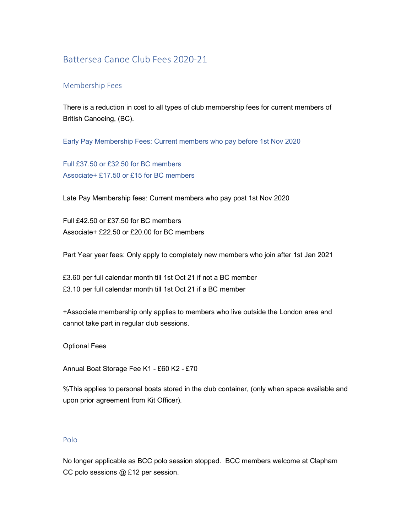# Battersea Canoe Club Fees 2020-21

## Membership Fees

There is a reduction in cost to all types of club membership fees for current members of British Canoeing, (BC).

Early Pay Membership Fees: Current members who pay before 1st Nov 2020

Full £37.50 or £32.50 for BC members Associate+ £17.50 or £15 for BC members

Late Pay Membership fees: Current members who pay post 1st Nov 2020

Full £42.50 or £37.50 for BC members Associate+ £22.50 or £20.00 for BC members

Part Year year fees: Only apply to completely new members who join after 1st Jan 2021

£3.60 per full calendar month till 1st Oct 21 if not a BC member £3.10 per full calendar month till 1st Oct 21 if a BC member

+Associate membership only applies to members who live outside the London area and cannot take part in regular club sessions.

Optional Fees

Annual Boat Storage Fee K1 - £60 K2 - £70

%This applies to personal boats stored in the club container, (only when space available and upon prior agreement from Kit Officer).

#### Polo

No longer applicable as BCC polo session stopped. BCC members welcome at Clapham CC polo sessions @ £12 per session.